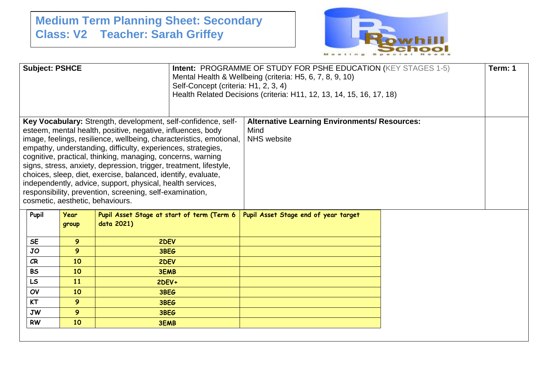## **Medium Term Planning Sheet: Secondary Class: V2 Teacher: Sarah Griffey**



| <b>Subject: PSHCE</b>                                                                                                                                                                                                                                                                                                                                                                                                                                                                                                                                                                                                                   |           |                      |                                                          | Self-Concept (criteria: H1, 2, 3, 4) | <b>Intent: PROGRAMME OF STUDY FOR PSHE EDUCATION (KEY STAGES 1-5)</b><br>Mental Health & Wellbeing (criteria: H5, 6, 7, 8, 9, 10)<br>Health Related Decisions (criteria: H11, 12, 13, 14, 15, 16, 17, 18) |  | Term: 1 |
|-----------------------------------------------------------------------------------------------------------------------------------------------------------------------------------------------------------------------------------------------------------------------------------------------------------------------------------------------------------------------------------------------------------------------------------------------------------------------------------------------------------------------------------------------------------------------------------------------------------------------------------------|-----------|----------------------|----------------------------------------------------------|--------------------------------------|-----------------------------------------------------------------------------------------------------------------------------------------------------------------------------------------------------------|--|---------|
| Key Vocabulary: Strength, development, self-confidence, self-<br>esteem, mental health, positive, negative, influences, body<br>image, feelings, resilience, wellbeing, characteristics, emotional,<br>empathy, understanding, difficulty, experiences, strategies,<br>cognitive, practical, thinking, managing, concerns, warning<br>signs, stress, anxiety, depression, trigger, treatment, lifestyle,<br>choices, sleep, diet, exercise, balanced, identify, evaluate,<br>independently, advice, support, physical, health services,<br>responsibility, prevention, screening, self-examination,<br>cosmetic, aesthetic, behaviours. |           |                      |                                                          |                                      | <b>Alternative Learning Environments/ Resources:</b><br>Mind<br><b>NHS</b> website                                                                                                                        |  |         |
|                                                                                                                                                                                                                                                                                                                                                                                                                                                                                                                                                                                                                                         | Pupil     | <b>Year</b><br>group | Pupil Asset Stage at start of term (Term 6<br>data 2021) |                                      | Pupil Asset Stage end of year target                                                                                                                                                                      |  |         |
|                                                                                                                                                                                                                                                                                                                                                                                                                                                                                                                                                                                                                                         | <b>SE</b> | 9                    | 2DEV                                                     |                                      |                                                                                                                                                                                                           |  |         |
|                                                                                                                                                                                                                                                                                                                                                                                                                                                                                                                                                                                                                                         | JO        | 9                    | 3BEG                                                     |                                      |                                                                                                                                                                                                           |  |         |
|                                                                                                                                                                                                                                                                                                                                                                                                                                                                                                                                                                                                                                         | CR        | 10                   | 2DEV                                                     |                                      |                                                                                                                                                                                                           |  |         |
|                                                                                                                                                                                                                                                                                                                                                                                                                                                                                                                                                                                                                                         | <b>BS</b> | 10                   | <b>3EMB</b>                                              |                                      |                                                                                                                                                                                                           |  |         |
|                                                                                                                                                                                                                                                                                                                                                                                                                                                                                                                                                                                                                                         | LS        | 11                   | $2$ DEV+                                                 |                                      |                                                                                                                                                                                                           |  |         |
|                                                                                                                                                                                                                                                                                                                                                                                                                                                                                                                                                                                                                                         | OV        | 10                   | 3BEG                                                     |                                      |                                                                                                                                                                                                           |  |         |
|                                                                                                                                                                                                                                                                                                                                                                                                                                                                                                                                                                                                                                         | <b>KT</b> | 9                    | 3BEG                                                     |                                      |                                                                                                                                                                                                           |  |         |
|                                                                                                                                                                                                                                                                                                                                                                                                                                                                                                                                                                                                                                         | <b>JW</b> | 9                    | 3BEG                                                     |                                      |                                                                                                                                                                                                           |  |         |
|                                                                                                                                                                                                                                                                                                                                                                                                                                                                                                                                                                                                                                         | <b>RW</b> | 10                   | <b>3EMB</b>                                              |                                      |                                                                                                                                                                                                           |  |         |
|                                                                                                                                                                                                                                                                                                                                                                                                                                                                                                                                                                                                                                         |           |                      |                                                          |                                      |                                                                                                                                                                                                           |  |         |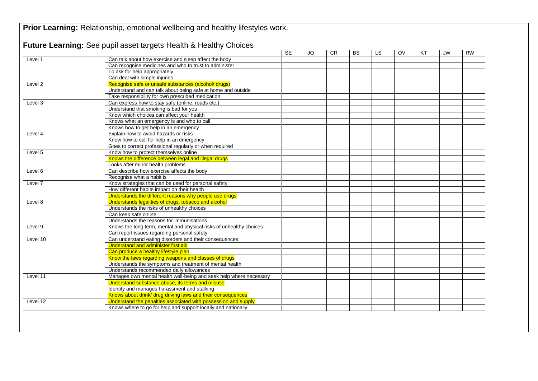|          |                                                                     | <b>SE</b> | <b>JO</b> | CR | <b>BS</b> | LS. | OV | KT | <b>JW</b> | <b>RW</b> |
|----------|---------------------------------------------------------------------|-----------|-----------|----|-----------|-----|----|----|-----------|-----------|
| Level 1  | Can talk about how exercise and sleep affect the body               |           |           |    |           |     |    |    |           |           |
|          | Can recognise medicines and who to trust to administer              |           |           |    |           |     |    |    |           |           |
|          | To ask for help appropriately                                       |           |           |    |           |     |    |    |           |           |
|          | Can deal with simple injuries                                       |           |           |    |           |     |    |    |           |           |
| Level 2  | Recognise safe or unsafe substances (alcohol/ drugs)                |           |           |    |           |     |    |    |           |           |
|          | Understand and can talk about being safe at home and outside        |           |           |    |           |     |    |    |           |           |
|          | Take responsibility for own prescribed medication                   |           |           |    |           |     |    |    |           |           |
| Level 3  | Can express how to stay safe (online, roads etc.)                   |           |           |    |           |     |    |    |           |           |
|          | Understand that smoking is bad for you                              |           |           |    |           |     |    |    |           |           |
|          | Know which choices can affect your health                           |           |           |    |           |     |    |    |           |           |
|          | Knows what an emergency is and who to call                          |           |           |    |           |     |    |    |           |           |
|          | Knows how to get help in an emergency                               |           |           |    |           |     |    |    |           |           |
| Level 4  | Explain how to avoid hazards or risks                               |           |           |    |           |     |    |    |           |           |
|          | Know how to call for help in an emergency                           |           |           |    |           |     |    |    |           |           |
|          | Goes to correct professional regularly or when required             |           |           |    |           |     |    |    |           |           |
| Level 5  | Know how to protect themselves online                               |           |           |    |           |     |    |    |           |           |
|          | Knows the difference between legal and illegal drugs                |           |           |    |           |     |    |    |           |           |
|          | Looks after minor health problems                                   |           |           |    |           |     |    |    |           |           |
| Level 6  | Can describe how exercise affects the body                          |           |           |    |           |     |    |    |           |           |
|          | Recognise what a habit is                                           |           |           |    |           |     |    |    |           |           |
| Level 7  | Know strategies that can be used for personal safety                |           |           |    |           |     |    |    |           |           |
|          | How different habits impact on their health                         |           |           |    |           |     |    |    |           |           |
|          | Understands the different reasons why people use drugs              |           |           |    |           |     |    |    |           |           |
| Level 8  | Understands legalities of drugs, tobacco and alcohol                |           |           |    |           |     |    |    |           |           |
|          | Understands the risks of unhealthy choices                          |           |           |    |           |     |    |    |           |           |
|          | Can keep safe online                                                |           |           |    |           |     |    |    |           |           |
|          | Understands the reasons for immunisations                           |           |           |    |           |     |    |    |           |           |
| Level 9  | Knows the long term, mental and physical risks of unhealthy choices |           |           |    |           |     |    |    |           |           |
|          | Can report issues regarding personal safety                         |           |           |    |           |     |    |    |           |           |
| Level 10 | Can understand eating disorders and their consequences              |           |           |    |           |     |    |    |           |           |
|          | Understand and administer first aid                                 |           |           |    |           |     |    |    |           |           |
|          | Can produce a healthy lifestyle plan                                |           |           |    |           |     |    |    |           |           |
|          | Know the laws regarding weapons and classes of drugs                |           |           |    |           |     |    |    |           |           |
|          | Understands the symptoms and treatment of mental health             |           |           |    |           |     |    |    |           |           |
|          | Understands recommended daily allowances                            |           |           |    |           |     |    |    |           |           |
| Level 11 | Manages own mental health well-being and seek help where necessary  |           |           |    |           |     |    |    |           |           |
|          | Understand substance abuse, its terms and misuse                    |           |           |    |           |     |    |    |           |           |
|          | Identify and manages harassment and stalking                        |           |           |    |           |     |    |    |           |           |
|          | Knows about drink/ drug driving laws and their consequences         |           |           |    |           |     |    |    |           |           |
| Level 12 | Understand the penalties associated with possession and supply      |           |           |    |           |     |    |    |           |           |
|          | Knows where to go for help and support locally and nationally       |           |           |    |           |     |    |    |           |           |

**Prior Learning: Relationship, emotional wellbeing and healthy lifestyles work.**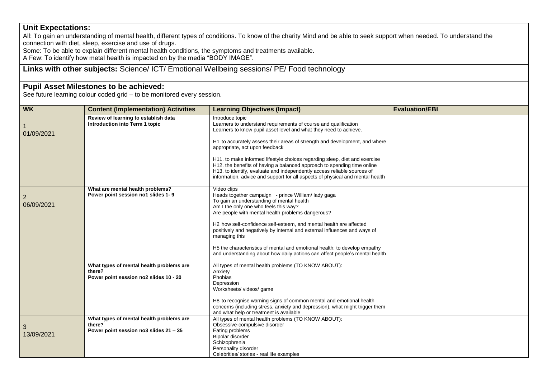## **Unit Expectations:**

All: To gain an understanding of mental health, different types of conditions. To know of the charity Mind and be able to seek support when needed. To understand the connection with diet, sleep, exercise and use of drugs.

Some: To be able to explain different mental health conditions, the symptoms and treatments available.

A Few: To identify how metal health is impacted on by the media "BODY IMAGE".

## **Links with other subjects:** Science/ ICT/ Emotional Wellbeing sessions/ PE/ Food technology

## **Pupil Asset Milestones to be achieved:**

See future learning colour coded grid – to be monitored every session.

| <b>WK</b>                    | <b>Content (Implementation) Activities</b>                                                   | <b>Learning Objectives (Impact)</b>                                                                                                                                                                                                                                                                                                                                                                                                                                                                                                                                                          | <b>Evaluation/EBI</b> |
|------------------------------|----------------------------------------------------------------------------------------------|----------------------------------------------------------------------------------------------------------------------------------------------------------------------------------------------------------------------------------------------------------------------------------------------------------------------------------------------------------------------------------------------------------------------------------------------------------------------------------------------------------------------------------------------------------------------------------------------|-----------------------|
| 1<br>01/09/2021              | Review of learning to establish data<br>Introduction into Term 1 topic                       | Introduce topic<br>Learners to understand requirements of course and qualification<br>Learners to know pupil asset level and what they need to achieve.<br>H1 to accurately assess their areas of strength and development, and where<br>appropriate, act upon feedback<br>H11. to make informed lifestyle choices regarding sleep, diet and exercise<br>H12. the benefits of having a balanced approach to spending time online<br>H13. to identify, evaluate and independently access reliable sources of<br>information, advice and support for all aspects of physical and mental health |                       |
| $\overline{2}$<br>06/09/2021 | What are mental health problems?<br>Power point session no1 slides 1-9                       | Video clips<br>Heads together campaign - prince William/ lady gaga<br>To gain an understanding of mental health<br>Am I the only one who feels this way?<br>Are people with mental health problems dangerous?<br>H2 how self-confidence self-esteem, and mental health are affected<br>positively and negatively by internal and external influences and ways of<br>managing this<br>H5 the characteristics of mental and emotional health; to develop empathy<br>and understanding about how daily actions can affect people's mental health                                                |                       |
|                              | What types of mental health problems are<br>there?<br>Power point session no2 slides 10 - 20 | All types of mental health problems (TO KNOW ABOUT):<br>Anxiety<br>Phobias<br>Depression<br>Worksheets/ videos/ game<br>H8 to recognise warning signs of common mental and emotional health<br>concerns (including stress, anxiety and depression), what might trigger them<br>and what help or treatment is available                                                                                                                                                                                                                                                                       |                       |
| 3<br>13/09/2021              | What types of mental health problems are<br>there?<br>Power point session no3 slides 21 - 35 | All types of mental health problems (TO KNOW ABOUT):<br>Obsessive-compulsive disorder<br>Eating problems<br>Bipolar disorder<br>Schizophrenia<br>Personality disorder<br>Celebrities/ stories - real life examples                                                                                                                                                                                                                                                                                                                                                                           |                       |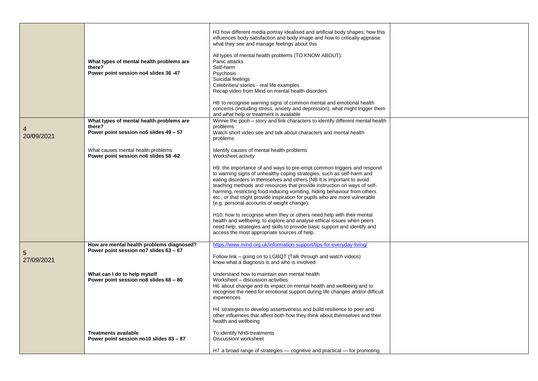|            | What types of mental health problems are<br>there?<br>Power point session no4 slides 36 -47 | H3 how different media portray idealised and artificial body shapes; how this<br>influences body satisfaction and body image and how to critically appraise<br>what they see and manage feelings about this<br>All types of mental health problems (TO KNOW ABOUT):<br>Panic attacks<br>Self-harm<br>Psychosis<br>Suicidal feelings<br>Celebrities/ stories - real life examples<br>Recap video from Mind on mental health disorders<br>H8 to recognise warning signs of common mental and emotional health<br>concerns (including stress, anxiety and depression), what might trigger them |  |
|------------|---------------------------------------------------------------------------------------------|---------------------------------------------------------------------------------------------------------------------------------------------------------------------------------------------------------------------------------------------------------------------------------------------------------------------------------------------------------------------------------------------------------------------------------------------------------------------------------------------------------------------------------------------------------------------------------------------|--|
|            |                                                                                             | and what help or treatment is available                                                                                                                                                                                                                                                                                                                                                                                                                                                                                                                                                     |  |
|            | What types of mental health problems are                                                    | Winnie the pooh - story and link characters to identify different mental health                                                                                                                                                                                                                                                                                                                                                                                                                                                                                                             |  |
| 4          | there?                                                                                      | problems                                                                                                                                                                                                                                                                                                                                                                                                                                                                                                                                                                                    |  |
| 20/09/2021 | Power point session no5 slides 49 - 57                                                      | Watch short video see and talk about characters and mental health                                                                                                                                                                                                                                                                                                                                                                                                                                                                                                                           |  |
|            |                                                                                             | problems                                                                                                                                                                                                                                                                                                                                                                                                                                                                                                                                                                                    |  |
|            |                                                                                             |                                                                                                                                                                                                                                                                                                                                                                                                                                                                                                                                                                                             |  |
|            | What causes mental health problems                                                          | Identify causes of mental health problems                                                                                                                                                                                                                                                                                                                                                                                                                                                                                                                                                   |  |
|            | Power point session no6 slides 58 -62                                                       | Worksheet activity                                                                                                                                                                                                                                                                                                                                                                                                                                                                                                                                                                          |  |
|            |                                                                                             |                                                                                                                                                                                                                                                                                                                                                                                                                                                                                                                                                                                             |  |
|            |                                                                                             | H9. the importance of and ways to pre-empt common triggers and respond<br>to warning signs of unhealthy coping strategies, such as self-harm and                                                                                                                                                                                                                                                                                                                                                                                                                                            |  |
|            |                                                                                             | eating disorders in themselves and others [NB It is important to avoid                                                                                                                                                                                                                                                                                                                                                                                                                                                                                                                      |  |
|            |                                                                                             | teaching methods and resources that provide instruction on ways of self-                                                                                                                                                                                                                                                                                                                                                                                                                                                                                                                    |  |
|            |                                                                                             | harming, restricting food inducing vomiting, hiding behaviour from others                                                                                                                                                                                                                                                                                                                                                                                                                                                                                                                   |  |
|            |                                                                                             | etc., or that might provide inspiration for pupils who are more vulnerable                                                                                                                                                                                                                                                                                                                                                                                                                                                                                                                  |  |
|            |                                                                                             | (e.g. personal accounts of weight change).                                                                                                                                                                                                                                                                                                                                                                                                                                                                                                                                                  |  |
|            |                                                                                             |                                                                                                                                                                                                                                                                                                                                                                                                                                                                                                                                                                                             |  |
|            |                                                                                             | H10. how to recognise when they or others need help with their mental                                                                                                                                                                                                                                                                                                                                                                                                                                                                                                                       |  |
|            |                                                                                             | health and wellbeing; to explore and analyse ethical issues when peers                                                                                                                                                                                                                                                                                                                                                                                                                                                                                                                      |  |
|            |                                                                                             | need help; strategies and skills to provide basic support and identify and                                                                                                                                                                                                                                                                                                                                                                                                                                                                                                                  |  |
|            |                                                                                             | access the most appropriate sources of help.                                                                                                                                                                                                                                                                                                                                                                                                                                                                                                                                                |  |
|            |                                                                                             |                                                                                                                                                                                                                                                                                                                                                                                                                                                                                                                                                                                             |  |
|            | How are mental health problems diagnosed?                                                   | https://www.mind.org.uk/information-support/tips-for-everyday-living/                                                                                                                                                                                                                                                                                                                                                                                                                                                                                                                       |  |
| 5          | Power point session no7 slides 63 - 67                                                      |                                                                                                                                                                                                                                                                                                                                                                                                                                                                                                                                                                                             |  |
|            |                                                                                             | Follow link - going on to LGBQT (Talk through and watch videos)                                                                                                                                                                                                                                                                                                                                                                                                                                                                                                                             |  |
| 27/09/2021 |                                                                                             | know what a diagnosis is and who is involved                                                                                                                                                                                                                                                                                                                                                                                                                                                                                                                                                |  |
|            |                                                                                             |                                                                                                                                                                                                                                                                                                                                                                                                                                                                                                                                                                                             |  |
|            | What can I do to help myself                                                                | Understand how to maintain own mental health                                                                                                                                                                                                                                                                                                                                                                                                                                                                                                                                                |  |
|            | Power point session no8 slides 68 - 80                                                      | Worksheet - discussion activities                                                                                                                                                                                                                                                                                                                                                                                                                                                                                                                                                           |  |
|            |                                                                                             | H6 about change and its impact on mental health and wellbeing and to                                                                                                                                                                                                                                                                                                                                                                                                                                                                                                                        |  |
|            |                                                                                             | recognise the need for emotional support during life changes and/or difficult                                                                                                                                                                                                                                                                                                                                                                                                                                                                                                               |  |
|            |                                                                                             | experiences                                                                                                                                                                                                                                                                                                                                                                                                                                                                                                                                                                                 |  |
|            |                                                                                             | H4 strategies to develop assertiveness and build resilience to peer and                                                                                                                                                                                                                                                                                                                                                                                                                                                                                                                     |  |
|            |                                                                                             | other influences that affect both how they think about themselves and their                                                                                                                                                                                                                                                                                                                                                                                                                                                                                                                 |  |
|            |                                                                                             | health and wellbeing                                                                                                                                                                                                                                                                                                                                                                                                                                                                                                                                                                        |  |
|            |                                                                                             |                                                                                                                                                                                                                                                                                                                                                                                                                                                                                                                                                                                             |  |
|            | <b>Treatments available</b>                                                                 | To identify NHS treatments                                                                                                                                                                                                                                                                                                                                                                                                                                                                                                                                                                  |  |
|            | Power point session no10 slides 83 - 87                                                     | Discussion/worksheet                                                                                                                                                                                                                                                                                                                                                                                                                                                                                                                                                                        |  |
|            |                                                                                             |                                                                                                                                                                                                                                                                                                                                                                                                                                                                                                                                                                                             |  |
|            |                                                                                             | H7 a broad range of strategies — cognitive and practical — for promoting                                                                                                                                                                                                                                                                                                                                                                                                                                                                                                                    |  |
|            |                                                                                             |                                                                                                                                                                                                                                                                                                                                                                                                                                                                                                                                                                                             |  |